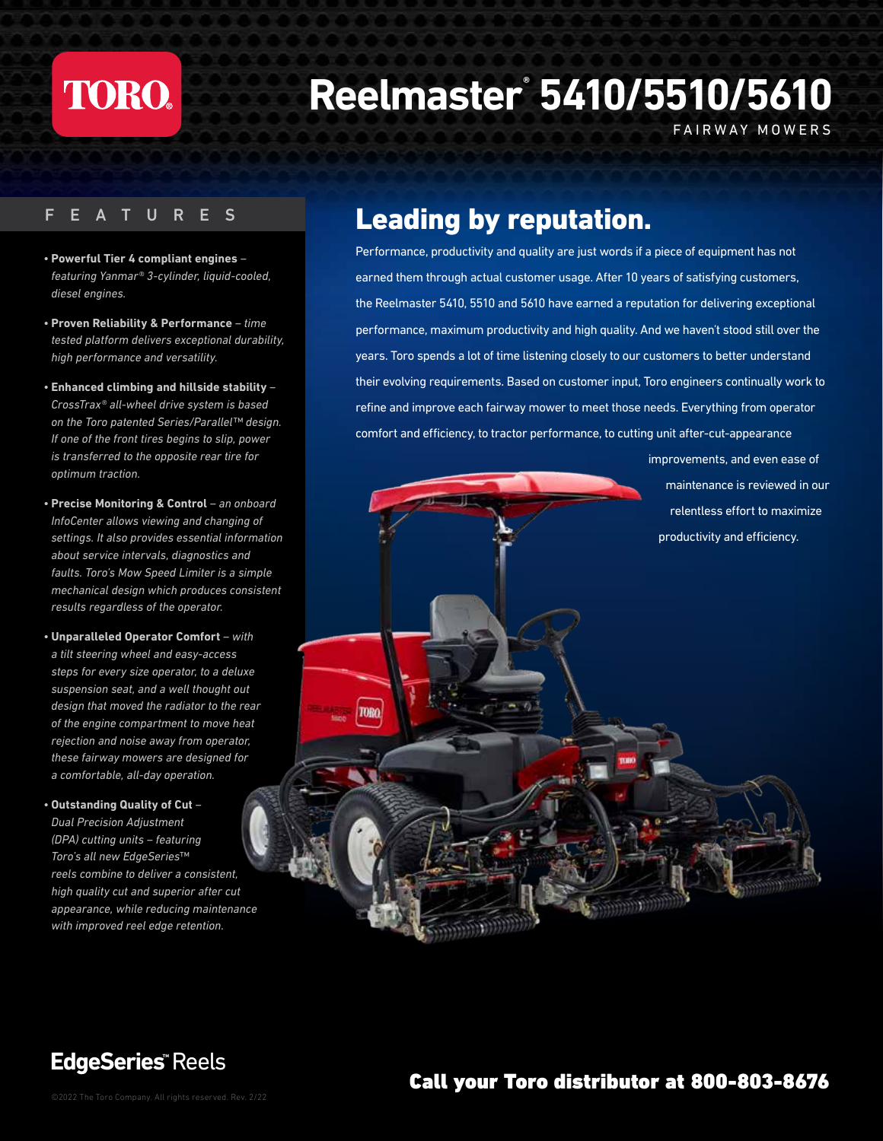# **TORO.**

# **Reelmaster® 5410/5510/5610**

FAIRWAY MOWERS

#### FEATURES

- **Powerful Tier 4 compliant engines** *featuring Yanmar® 3-cylinder, liquid-cooled, diesel engines.*
- **Proven Reliability & Performance** *time tested platform delivers exceptional durability, high performance and versatility.*
- **Enhanced climbing and hillside stability** *CrossTrax® all-wheel drive system is based on the Toro patented Series/Parallel™ design. If one of the front tires begins to slip, power is transferred to the opposite rear tire for optimum traction.*
- **Precise Monitoring & Control** *an onboard InfoCenter allows viewing and changing of settings. It also provides essential information about service intervals, diagnostics and faults. Toro's Mow Speed Limiter is a simple mechanical design which produces consistent results regardless of the operator.*
- **Unparalleled Operator Comfort** *with a tilt steering wheel and easy-access steps for every size operator, to a deluxe suspension seat, and a well thought out design that moved the radiator to the rear of the engine compartment to move heat rejection and noise away from operator, these fairway mowers are designed for a comfortable, all-day operation.*

TORO

*•* **Outstanding Quality of Cut** *– Dual Precision Adjustment (DPA) cutting units – featuring Toro's all new EdgeSeries™ reels combine to deliver a consistent, high quality cut and superior after cut appearance, while reducing maintenance with improved reel edge retention.* 

#### Leading by reputation.

Performance, productivity and quality are just words if a piece of equipment has not earned them through actual customer usage. After 10 years of satisfying customers, the Reelmaster 5410, 5510 and 5610 have earned a reputation for delivering exceptional performance, maximum productivity and high quality. And we haven't stood still over the years. Toro spends a lot of time listening closely to our customers to better understand their evolving requirements. Based on customer input, Toro engineers continually work to refine and improve each fairway mower to meet those needs. Everything from operator comfort and efficiency, to tractor performance, to cutting unit after-cut-appearance

> improvements, and even ease of maintenance is reviewed in our relentless effort to maximize productivity and efficiency.

**EdgeSeries ™** Reels

#### **Call your Toro distributor at 800-803-8676** ©2022 The Toro Company. All rights reserved. Rev. 2/22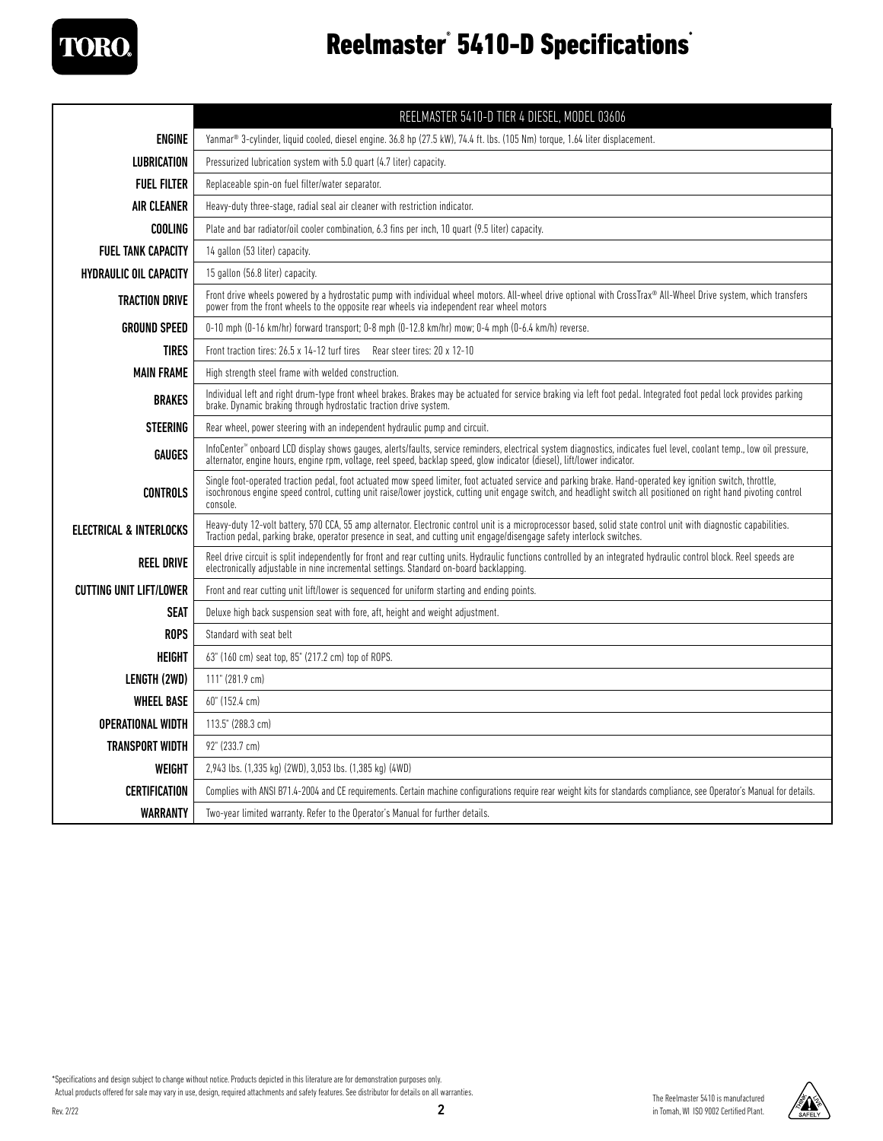

#### Reelmaster<sup>®</sup> 5410-D Specifications<sup>®</sup>

|                                    | REELMASTER 5410-D TIER 4 DIESEL, MODEL 03606                                                                                                                                                                                                                                                                                                   |  |  |
|------------------------------------|------------------------------------------------------------------------------------------------------------------------------------------------------------------------------------------------------------------------------------------------------------------------------------------------------------------------------------------------|--|--|
| <b>ENGINE</b>                      | Yanmar <sup>®</sup> 3-cylinder, liquid cooled, diesel engine. 36.8 hp (27.5 kW), 74.4 ft. lbs. (105 Nm) torque, 1.64 liter displacement.                                                                                                                                                                                                       |  |  |
| <b>LUBRICATION</b>                 | Pressurized lubrication system with 5.0 quart (4.7 liter) capacity.                                                                                                                                                                                                                                                                            |  |  |
| <b>FUEL FILTER</b>                 | Replaceable spin-on fuel filter/water separator.                                                                                                                                                                                                                                                                                               |  |  |
| <b>AIR CLEANER</b>                 | Heavy-duty three-stage, radial seal air cleaner with restriction indicator.                                                                                                                                                                                                                                                                    |  |  |
| COOLING                            | Plate and bar radiator/oil cooler combination, 6.3 fins per inch, 10 quart (9.5 liter) capacity.                                                                                                                                                                                                                                               |  |  |
| <b>FUEL TANK CAPACITY</b>          | 14 gallon (53 liter) capacity.                                                                                                                                                                                                                                                                                                                 |  |  |
| <b>HYDRAULIC OIL CAPACITY</b>      | 15 gallon (56.8 liter) capacity.                                                                                                                                                                                                                                                                                                               |  |  |
| <b>TRACTION DRIVE</b>              | Front drive wheels powered by a hydrostatic pump with individual wheel motors. All-wheel drive optional with CrossTrax® All-Wheel Drive system, which transfers<br>power from the front wheels to the opposite rear wheels via independent rear wheel motors                                                                                   |  |  |
| <b>GROUND SPEED</b>                | 0-10 mph (0-16 km/hr) forward transport; 0-8 mph (0-12.8 km/hr) mow; 0-4 mph (0-6.4 km/h) reverse.                                                                                                                                                                                                                                             |  |  |
| <b>TIRES</b>                       | Front traction tires: 26.5 x 14-12 turf tires Rear steer tires: 20 x 12-10                                                                                                                                                                                                                                                                     |  |  |
| <b>MAIN FRAME</b>                  | High strength steel frame with welded construction.                                                                                                                                                                                                                                                                                            |  |  |
| <b>BRAKES</b>                      | Individual left and right drum-type front wheel brakes. Brakes may be actuated for service braking via left foot pedal. Integrated foot pedal lock provides parking<br>brake. Dynamic braking through hydrostatic traction drive system.                                                                                                       |  |  |
| <b>STEERING</b>                    | Rear wheel, power steering with an independent hydraulic pump and circuit.                                                                                                                                                                                                                                                                     |  |  |
| <b>GAUGES</b>                      | InfoCenter <sup>w</sup> onboard LCD display shows gauges, alerts/faults, service reminders, electrical system diagnostics, indicates fuel level, coolant temp., low oil pressure,<br>alternator, engine hours, engine rpm, voltage, reel speed, backlap speed, glow indicator (diesel), lift/lower indicator.                                  |  |  |
| <b>CONTROLS</b>                    | Single foot-operated traction pedal, foot actuated mow speed limiter, foot actuated service and parking brake. Hand-operated key ignition switch, throttle,<br>isochronous engine speed control, cutting unit raise/lower joystick, cutting unit engage switch, and headlight switch all positioned on right hand pivoting control<br>console. |  |  |
| <b>ELECTRICAL &amp; INTERLOCKS</b> | Heavy-duty 12-volt battery, 570 CCA, 55 amp alternator. Electronic control unit is a microprocessor based, solid state control unit with diagnostic capabilities.<br>Traction pedal, parking brake, operator presence in seat, and cutting unit engage/disengage safety interlock switches.                                                    |  |  |
| <b>REEL DRIVE</b>                  | Reel drive circuit is split independently for front and rear cutting units. Hydraulic functions controlled by an integrated hydraulic control block. Reel speeds are<br>electronically adjustable in nine incremental settings. Standard on-board backlapping.                                                                                 |  |  |
| <b>CUTTING UNIT LIFT/LOWER</b>     | Front and rear cutting unit lift/lower is sequenced for uniform starting and ending points.                                                                                                                                                                                                                                                    |  |  |
| <b>SEAT</b>                        | Deluxe high back suspension seat with fore, aft, height and weight adjustment.                                                                                                                                                                                                                                                                 |  |  |
| <b>ROPS</b>                        | Standard with seat belt                                                                                                                                                                                                                                                                                                                        |  |  |
| <b>HEIGHT</b>                      | 63" (160 cm) seat top, 85" (217.2 cm) top of ROPS.                                                                                                                                                                                                                                                                                             |  |  |
| LENGTH (2WD)                       | 111" (281.9 cm)                                                                                                                                                                                                                                                                                                                                |  |  |
| <b>WHEEL BASE</b>                  | 60" (152.4 cm)                                                                                                                                                                                                                                                                                                                                 |  |  |
| <b>OPERATIONAL WIDTH</b>           | 113.5" (288.3 cm)                                                                                                                                                                                                                                                                                                                              |  |  |
| TRANSPORT WIDTH                    | 92" (233.7 cm)                                                                                                                                                                                                                                                                                                                                 |  |  |
| WEIGHT                             | 2,943 lbs. (1,335 kg) (2WD), 3,053 lbs. (1,385 kg) (4WD)                                                                                                                                                                                                                                                                                       |  |  |
| <b>CERTIFICATION</b>               | Complies with ANSI B71.4-2004 and CE requirements. Certain machine configurations require rear weight kits for standards compliance, see Operator's Manual for details.                                                                                                                                                                        |  |  |
| <b>WARRANTY</b>                    | Two-year limited warranty. Refer to the Operator's Manual for further details.                                                                                                                                                                                                                                                                 |  |  |

\*Specifications and design subject to change without notice. Products depicted in this literature are for demonstration purposes only.

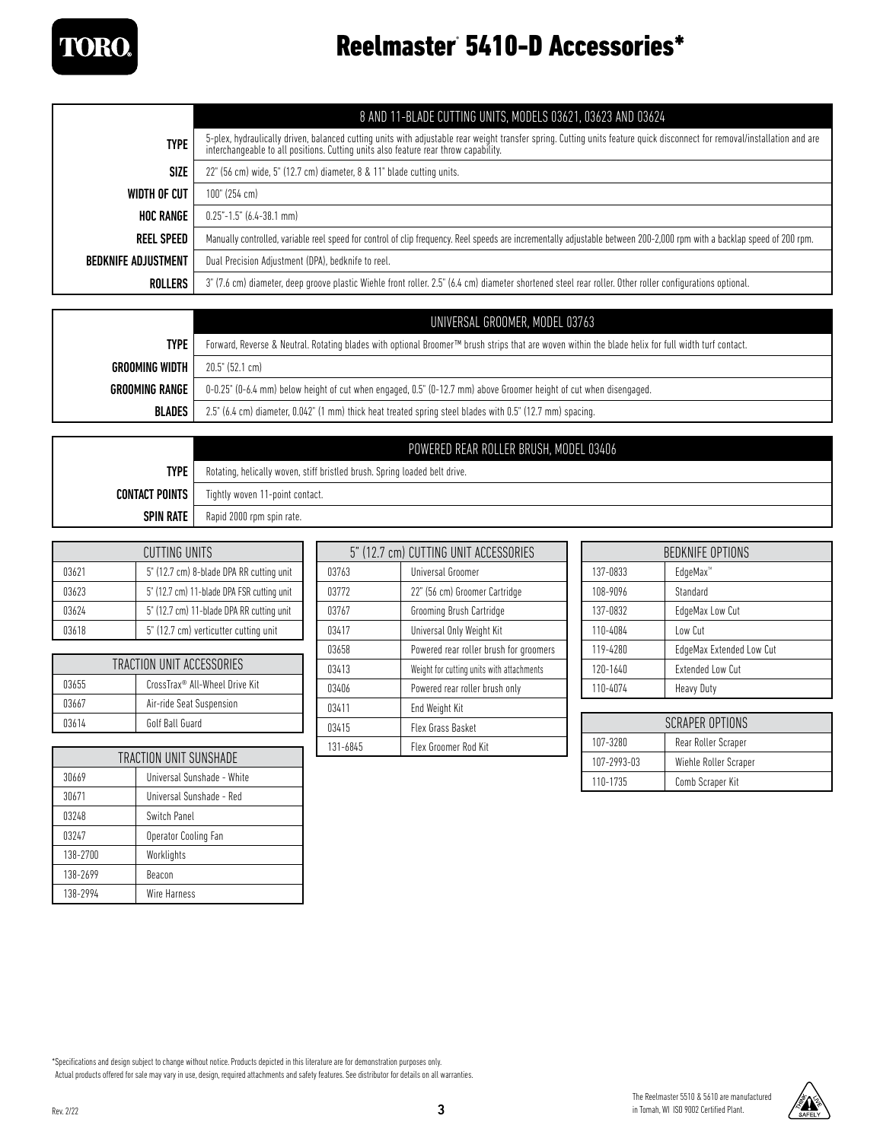

### Reelmaster® 5410-D Accessories\*

|                            | 8 AND 11-BLADE CUTTING UNITS, MODELS 03621, 03623 AND 03624                                                                                                                                                                                                      |  |
|----------------------------|------------------------------------------------------------------------------------------------------------------------------------------------------------------------------------------------------------------------------------------------------------------|--|
| <b>TYPE</b>                | 5-plex, hydraulically driven, balanced cutting units with adjustable rear weight transfer spring. Cutting units feature quick disconnect for removal/installation and are<br>interchangeable to all positions. Cutting units also feature rear throw capability. |  |
| <b>SIZE</b>                | 22" (56 cm) wide, 5" (12.7 cm) diameter, 8 & 11" blade cutting units.                                                                                                                                                                                            |  |
| WIDTH OF CUT               | 100" (254 cm)                                                                                                                                                                                                                                                    |  |
| <b>HOC RANGE</b>           | $0.25 - 1.5$ " (6.4-38.1 mm)                                                                                                                                                                                                                                     |  |
| <b>REEL SPEED</b>          | Manually controlled, variable reel speed for control of clip frequency. Reel speeds are incrementally adjustable between 200-2,000 rpm with a backlap speed of 200 rpm.                                                                                          |  |
| <b>BEDKNIFE ADJUSTMENT</b> | Dual Precision Adjustment (DPA), bedknife to reel.                                                                                                                                                                                                               |  |
| ROLLERS                    | 3" (7.6 cm) diameter, deep groove plastic Wiehle front roller. 2.5" (6.4 cm) diameter shortened steel rear roller. Other roller configurations optional.                                                                                                         |  |

|                | UNIVERSAL GROOMER, MODEL 03763                                                                                                                                  |  |
|----------------|-----------------------------------------------------------------------------------------------------------------------------------------------------------------|--|
| <b>TYPE</b>    | Forward, Reverse & Neutral. Rotating blades with optional Broomer <sup>TM</sup> brush strips that are woven within the blade helix for full width turf contact. |  |
| GROOMING WIDTH | $20.5^{\circ}$ (52.1 cm)                                                                                                                                        |  |
| GROOMING RANGE | 0-0.25" (0-6.4 mm) below height of cut when engaged, 0.5" (0-12.7 mm) above Groomer height of cut when disengaged.                                              |  |
| <b>BLADES</b>  | 2.5" (6.4 cm) diameter, 0.042" (1 mm) thick heat treated spring steel blades with 0.5" (12.7 mm) spacing.                                                       |  |

|                       | POWERED REAR ROLLER BRUSH, MODEL 03406                                     |  |
|-----------------------|----------------------------------------------------------------------------|--|
| <b>TYPE</b>           | Rotating, helically woven, stiff bristled brush. Spring loaded belt drive. |  |
| <b>CONTACT POINTS</b> | Tightly woven 11-point contact.                                            |  |
| <b>SPIN RATE</b>      | Rapid 2000 rpm spin rate.                                                  |  |

| CUTTING UNITS |                                            |
|---------------|--------------------------------------------|
| 03621         | 5" (12.7 cm) 8-blade DPA RR cutting unit   |
| 03623         | 5" (12.7 cm) 11-blade DPA FSR cutting unit |
| 03624         | 5" (12.7 cm) 11-blade DPA RR cutting unit  |
| 03618         | 5" (12.7 cm) verticutter cutting unit      |

| TRACTION UNIT ACCESSORIES |                                |
|---------------------------|--------------------------------|
| 03655                     | CrossTrax® All-Wheel Drive Kit |
| 03667                     | Air-ride Seat Suspension       |
| 03614                     | Golf Ball Guard                |

| TRACTION UNIT SUNSHADE |                            |  |
|------------------------|----------------------------|--|
| 30669                  | Universal Sunshade - White |  |
| 30671                  | Universal Sunshade - Red   |  |
| 03248                  | Switch Panel               |  |
| 03247                  | Operator Cooling Fan       |  |
| 138-2700               | Worklights                 |  |
| 138-2699               | Beacon                     |  |
| 138-2994               | Wire Harness               |  |

| 5" (12.7 cm) CUTTING UNIT ACCESSORIES |                                           |  |
|---------------------------------------|-------------------------------------------|--|
| 03763                                 | Universal Groomer                         |  |
| 03772                                 | 22" (56 cm) Groomer Cartridge             |  |
| 03767                                 | Grooming Brush Cartridge                  |  |
| 03417                                 | Universal Only Weight Kit                 |  |
| 03658                                 | Powered rear roller brush for groomers    |  |
| 03413                                 | Weight for cutting units with attachments |  |
| 03406                                 | Powered rear roller brush only            |  |
| 03411                                 | End Weight Kit                            |  |
| 03415                                 | Flex Grass Basket                         |  |
| 131-6845                              | Flex Groomer Rod Kit                      |  |

| BEDKNIFE OPTIONS |                          |  |
|------------------|--------------------------|--|
| 137-0833         | EdgeMax <sup>™</sup>     |  |
| 108-9096         | Standard                 |  |
| 137-0832         | EdgeMax Low Cut          |  |
| 110-4084         | Low Cut                  |  |
| 119-4280         | EdgeMax Extended Low Cut |  |
| 120-1640         | <b>Extended Low Cut</b>  |  |
| 110-4074         | Heavy Duty               |  |

| SCRAPFR OPTIONS |                       |
|-----------------|-----------------------|
| 107-3280        | Rear Roller Scraper   |
| 107-2993-03     | Wiehle Roller Scraper |
| 110-1735        | Comb Scraper Kit      |

\*Specifications and design subject to change without notice. Products depicted in this literature are for demonstration purposes only.

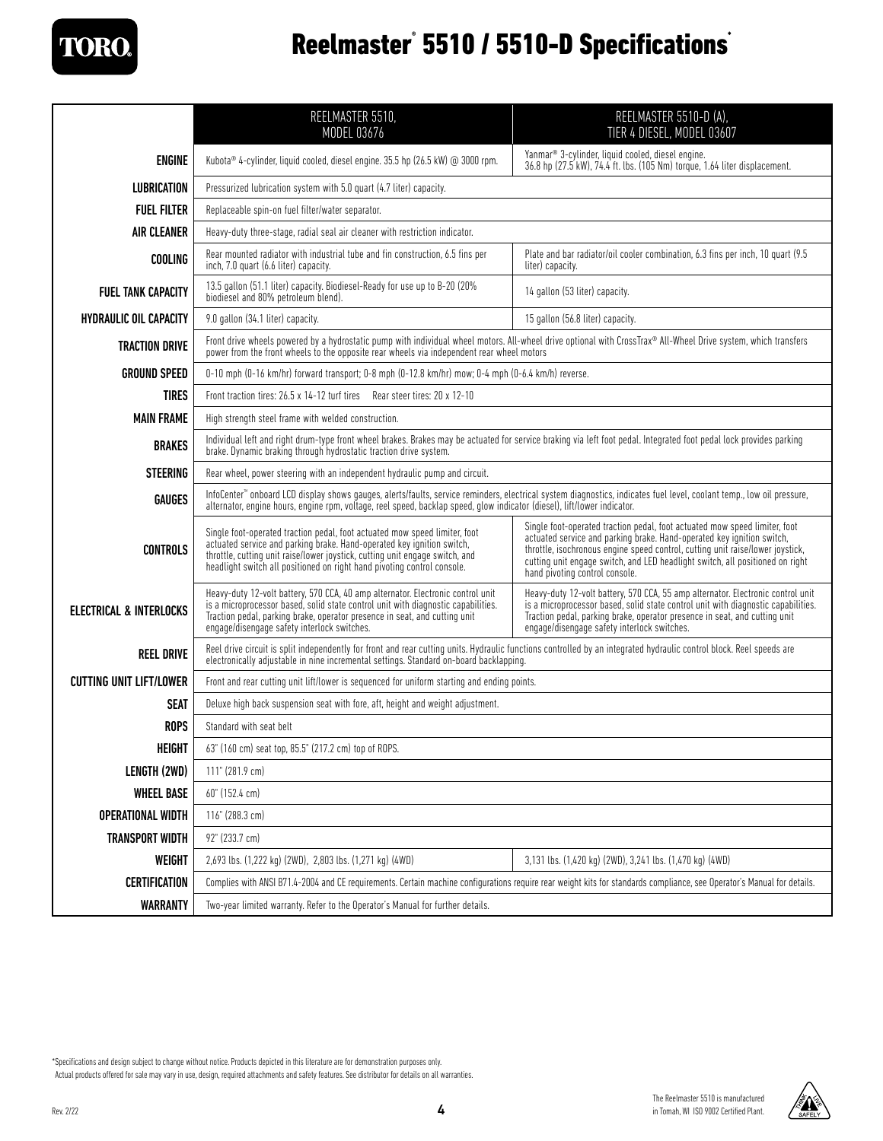**TORO** 

## Reelmaster° 5510 / 5510-D Specifications<sup>\*</sup>

|                                | REELMASTER 5510,<br>MODEL 03676                                                                                                                                                                                                                                                                                 | REELMASTER 5510-D (A),<br>TIER 4 DIESEL, MODEL 03607                                                                                                                                                                                                                                                                                                      |  |
|--------------------------------|-----------------------------------------------------------------------------------------------------------------------------------------------------------------------------------------------------------------------------------------------------------------------------------------------------------------|-----------------------------------------------------------------------------------------------------------------------------------------------------------------------------------------------------------------------------------------------------------------------------------------------------------------------------------------------------------|--|
| <b>ENGINE</b>                  | Kubota® 4-cylinder, liquid cooled, diesel engine. 35.5 hp (26.5 kW) @ 3000 rpm.                                                                                                                                                                                                                                 | Yanmar® 3-cylinder, liquid cooled, diesel engine.<br>36.8 hp (27.5 kW), 74.4 ft. lbs. (105 Nm) torque, 1.64 liter displacement.                                                                                                                                                                                                                           |  |
| <b>LUBRICATION</b>             | Pressurized lubrication system with 5.0 quart (4.7 liter) capacity.                                                                                                                                                                                                                                             |                                                                                                                                                                                                                                                                                                                                                           |  |
| <b>FUEL FILTER</b>             | Replaceable spin-on fuel filter/water separator.                                                                                                                                                                                                                                                                |                                                                                                                                                                                                                                                                                                                                                           |  |
| <b>AIR CLEANER</b>             | Heavy-duty three-stage, radial seal air cleaner with restriction indicator.                                                                                                                                                                                                                                     |                                                                                                                                                                                                                                                                                                                                                           |  |
| <b>COOLING</b>                 | Rear mounted radiator with industrial tube and fin construction, 6.5 fins per<br>inch, 7.0 quart (6.6 liter) capacity.                                                                                                                                                                                          | Plate and bar radiator/oil cooler combination, 6.3 fins per inch, 10 quart (9.5)<br>liter) capacity.                                                                                                                                                                                                                                                      |  |
| <b>FUEL TANK CAPACITY</b>      | 13.5 gallon (51.1 liter) capacity. Biodiesel-Ready for use up to B-20 (20%<br>biodiesel and 80% petroleum blend).                                                                                                                                                                                               | 14 gallon (53 liter) capacity.                                                                                                                                                                                                                                                                                                                            |  |
| <b>HYDRAULIC OIL CAPACITY</b>  | 9.0 gallon (34.1 liter) capacity.                                                                                                                                                                                                                                                                               | 15 gallon (56.8 liter) capacity.                                                                                                                                                                                                                                                                                                                          |  |
| <b>TRACTION DRIVE</b>          | Front drive wheels powered by a hydrostatic pump with individual wheel motors. All-wheel drive optional with CrossTrax® All-Wheel Drive system, which transfers<br>power from the front wheels to the opposite rear wheels via independent rear wheel motors                                                    |                                                                                                                                                                                                                                                                                                                                                           |  |
| <b>GROUND SPEED</b>            | 0-10 mph (0-16 km/hr) forward transport; 0-8 mph (0-12.8 km/hr) mow; 0-4 mph (0-6.4 km/h) reverse.                                                                                                                                                                                                              |                                                                                                                                                                                                                                                                                                                                                           |  |
| <b>TIRES</b>                   | Front traction tires: 26.5 x 14-12 turf tires Rear steer tires: 20 x 12-10                                                                                                                                                                                                                                      |                                                                                                                                                                                                                                                                                                                                                           |  |
| <b>MAIN FRAME</b>              | High strength steel frame with welded construction.                                                                                                                                                                                                                                                             |                                                                                                                                                                                                                                                                                                                                                           |  |
| <b>BRAKES</b>                  | Individual left and right drum-type front wheel brakes. Brakes may be actuated for service braking via left foot pedal. Integrated foot pedal lock provides parking<br>brake. Dynamic braking through hydrostatic traction drive system.                                                                        |                                                                                                                                                                                                                                                                                                                                                           |  |
| <b>STEERING</b>                | Rear wheel, power steering with an independent hydraulic pump and circuit.                                                                                                                                                                                                                                      |                                                                                                                                                                                                                                                                                                                                                           |  |
| <b>GAUGES</b>                  | InfoCenter" onboard LCD display shows gauges, alerts/faults, service reminders, electrical system diagnostics, indicates fuel level, coolant temp., low oil pressure,<br>alternator, engine hours, engine rpm, voltage, reel speed, backlap speed, glow indicator (diesel), lift/lower indicator.               |                                                                                                                                                                                                                                                                                                                                                           |  |
| <b>CONTROLS</b>                | Single foot-operated traction pedal, foot actuated mow speed limiter, foot<br>actuated service and parking brake. Hand-operated key ignition switch,<br>throttle, cutting unit raise/lower joystick, cutting unit engage switch, and<br>headlight switch all positioned on right hand pivoting control console. | Single foot-operated traction pedal, foot actuated mow speed limiter, foot<br>actuated service and parking brake. Hand-operated key ignition switch,<br>throttle, isochronous engine speed control, cutting unit raise/lower joystick,<br>cutting unit engage switch, and LED headlight switch, all positioned on right<br>hand pivoting control console. |  |
| ELECTRICAL & INTERLOCKS        | Heavy-duty 12-volt battery, 570 CCA, 40 amp alternator. Electronic control unit is a microprocessor based, solid state control unit vith diagnostic capabilities.<br>Traction pedal, parking brake, operator presence in seat, and cutting unit<br>engage/disengage safety interlock switches.                  | Heavy-duty 12-volt battery, 570 CCA, 55 amp alternator. Electronic control unit<br>is a microprocessor based, solid state control unit with diagnostic capabilities.<br>Traction pedal, parking brake, operator presence in seat, and cutting unit<br>engage/disengage safety interlock switches.                                                         |  |
| <b>REEL DRIVE</b>              | Reel drive circuit is split independently for front and rear cutting units. Hydraulic functions controlled by an integrated hydraulic control block. Reel speeds are<br>electronically adjustable in nine incremental settings. Standard on-board backlapping.                                                  |                                                                                                                                                                                                                                                                                                                                                           |  |
| <b>CUTTING UNIT LIFT/LOWER</b> | Front and rear cutting unit lift/lower is sequenced for uniform starting and ending points.                                                                                                                                                                                                                     |                                                                                                                                                                                                                                                                                                                                                           |  |
| <b>SEAT</b>                    | Deluxe high back suspension seat with fore, aft, height and weight adjustment.                                                                                                                                                                                                                                  |                                                                                                                                                                                                                                                                                                                                                           |  |
| <b>ROPS</b>                    | Standard with seat belt                                                                                                                                                                                                                                                                                         |                                                                                                                                                                                                                                                                                                                                                           |  |
| HEIGHT                         | 63" (160 cm) seat top, 85.5" (217.2 cm) top of ROPS.                                                                                                                                                                                                                                                            |                                                                                                                                                                                                                                                                                                                                                           |  |
| LENGTH (2WD)                   | 111" (281.9 cm)                                                                                                                                                                                                                                                                                                 |                                                                                                                                                                                                                                                                                                                                                           |  |
| <b>WHEEL BASE</b>              | 60" (152.4 cm)                                                                                                                                                                                                                                                                                                  |                                                                                                                                                                                                                                                                                                                                                           |  |
| <b>OPERATIONAL WIDTH</b>       | 116" (288.3 cm)                                                                                                                                                                                                                                                                                                 |                                                                                                                                                                                                                                                                                                                                                           |  |
| <b>TRANSPORT WIDTH</b>         | 92" (233.7 cm)                                                                                                                                                                                                                                                                                                  |                                                                                                                                                                                                                                                                                                                                                           |  |
| <b>WEIGHT</b>                  | 2,693 lbs. (1,222 kg) (2WD), 2,803 lbs. (1,271 kg) (4WD)                                                                                                                                                                                                                                                        | 3,131 lbs. (1,420 kg) (2WD), 3,241 lbs. (1,470 kg) (4WD)                                                                                                                                                                                                                                                                                                  |  |
| <b>CERTIFICATION</b>           | Complies with ANSI B71.4-2004 and CE requirements. Certain machine configurations require rear weight kits for standards compliance, see Operator's Manual for details.                                                                                                                                         |                                                                                                                                                                                                                                                                                                                                                           |  |
| <b>WARRANTY</b>                | Two-year limited warranty. Refer to the Operator's Manual for further details.                                                                                                                                                                                                                                  |                                                                                                                                                                                                                                                                                                                                                           |  |

\*Specifications and design subject to change without notice. Products depicted in this literature are for demonstration purposes only.

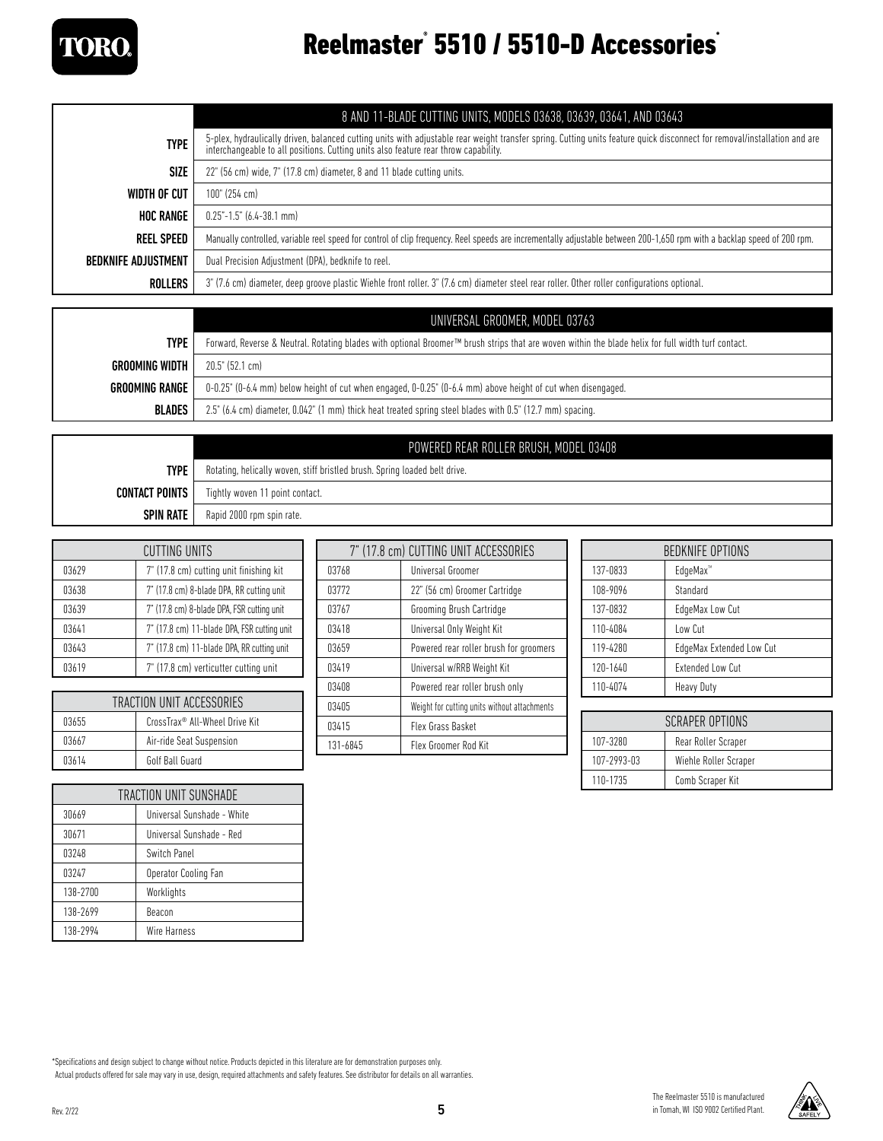

### Reelmaster° 5510 / 5510-D Accessories<sup>®</sup>

|                            | 8 AND 11-BLADE CUTTING UNITS, MODELS 03638, 03639, 03641, AND 03643                                                                                                                                                                                              |  |
|----------------------------|------------------------------------------------------------------------------------------------------------------------------------------------------------------------------------------------------------------------------------------------------------------|--|
| <b>TYPE</b>                | 5-plex, hydraulically driven, balanced cutting units with adjustable rear weight transfer spring. Cutting units feature quick disconnect for removal/installation and are<br>interchangeable to all positions. Cutting units also feature rear throw capability. |  |
| SIZE                       | 22" (56 cm) wide, 7" (17.8 cm) diameter, 8 and 11 blade cutting units.                                                                                                                                                                                           |  |
| WIDTH OF CUT               | 100" (254 cm)                                                                                                                                                                                                                                                    |  |
| <b>HOC RANGE</b>           | $0.25 - 1.5$ " (6.4-38.1 mm)                                                                                                                                                                                                                                     |  |
| <b>REEL SPEED</b>          | Manually controlled, variable reel speed for control of clip frequency. Reel speeds are incrementally adjustable between 200-1,650 rpm with a backlap speed of 200 rpm.                                                                                          |  |
| <b>BEDKNIFE ADJUSTMENT</b> | Dual Precision Adjustment (DPA), bedknife to reel.                                                                                                                                                                                                               |  |
| ROLLERS                    | 3" (7.6 cm) diameter, deep groove plastic Wiehle front roller. 3" (7.6 cm) diameter steel rear roller. Other roller configurations optional.                                                                                                                     |  |

|                       | UNIVERSAL GROOMER, MODEL 03763                                                                                                                                  |  |
|-----------------------|-----------------------------------------------------------------------------------------------------------------------------------------------------------------|--|
| <b>TYPE</b>           | Forward, Reverse & Neutral. Rotating blades with optional Broomer <sup>TM</sup> brush strips that are woven within the blade helix for full width turf contact. |  |
| GROOMING WIDTH        | $20.5^{\circ}$ (52.1 cm)                                                                                                                                        |  |
| <b>GROOMING RANGE</b> | $0-0.25$ " ( $0-6.4$ mm) below height of cut when engaged, $0-0.25$ " ( $0-6.4$ mm) above height of cut when disengaged.                                        |  |
| <b>BLADES</b>         | 2.5" (6.4 cm) diameter, 0.042" (1 mm) thick heat treated spring steel blades with 0.5" (12.7 mm) spacing.                                                       |  |

|                       | POWERED REAR ROLLER BRUSH, MODEL 03408                                     |  |
|-----------------------|----------------------------------------------------------------------------|--|
| <b>TYPE</b>           | Rotating, helically woven, stiff bristled brush. Spring loaded belt drive. |  |
| <b>CONTACT POINTS</b> | Tightly woven 11 point contact.                                            |  |
| <b>SPIN RATE</b>      | Rapid 2000 rpm spin rate.                                                  |  |

| CUTTING UNITS |                                             |  |
|---------------|---------------------------------------------|--|
| 03629         | 7" (17.8 cm) cutting unit finishing kit     |  |
| 03638         | 7" (17.8 cm) 8-blade DPA, RR cutting unit   |  |
| 03639         | 7" (17.8 cm) 8-blade DPA, FSR cutting unit  |  |
| 03641         | 7" (17.8 cm) 11-blade DPA, FSR cutting unit |  |
| 03643         | 7" (17.8 cm) 11-blade DPA, RR cutting unit  |  |
| 03619         | 7" (17.8 cm) verticutter cutting unit       |  |

| TRACTION UNIT ACCESSORIES |                                |  |
|---------------------------|--------------------------------|--|
| 03655                     | CrossTrax® All-Wheel Drive Kit |  |
| 03667                     | Air-ride Seat Suspension       |  |
| 03614                     | Golf Ball Guard                |  |

| TRACTION UNIT SUNSHADE |                            |  |
|------------------------|----------------------------|--|
| 30669                  | Universal Sunshade - White |  |
| 30671                  | Universal Sunshade - Red   |  |
| 03248                  | Switch Panel               |  |
| 03247                  | Operator Cooling Fan       |  |
| 138-2700               | Worklights                 |  |
| 138-2699               | Beacon                     |  |
| 138-2994               | <b>Wire Harness</b>        |  |

| 7" (17.8 cm) CUTTING UNIT ACCESSORIES |                                              |
|---------------------------------------|----------------------------------------------|
| 03768                                 | Universal Groomer                            |
| 03772                                 | 22" (56 cm) Groomer Cartridge                |
| 03767                                 | Grooming Brush Cartridge                     |
| 03418                                 | Universal Only Weight Kit                    |
| 03659                                 | Powered rear roller brush for groomers       |
| 03419                                 | Universal w/RRB Weight Kit                   |
| 03408                                 | Powered rear roller brush only               |
| 03405                                 | Weight for cutting units without attachments |
| 03415                                 | Flex Grass Basket                            |
| 131-6845                              | Flex Groomer Rod Kit                         |

| <b>BEDKNIFE OPTIONS</b> |                          |  |
|-------------------------|--------------------------|--|
| 137-0833                | EdgeMax <sup>™</sup>     |  |
| 108-9096                | Standard                 |  |
| 137-0832                | EdgeMax Low Cut          |  |
| 110-4084                | Low Cut                  |  |
| 119-4280                | EdgeMax Extended Low Cut |  |
| 120-1640                | <b>Extended Low Cut</b>  |  |
| 110-4074                | Heavy Duty               |  |

| SCRAPER OPTIONS |                       |  |
|-----------------|-----------------------|--|
| 107-3280        | Rear Roller Scraper   |  |
| 107-2993-03     | Wiehle Roller Scraper |  |
| 110-1735        | Comb Scraper Kit      |  |

\*Specifications and design subject to change without notice. Products depicted in this literature are for demonstration purposes only.

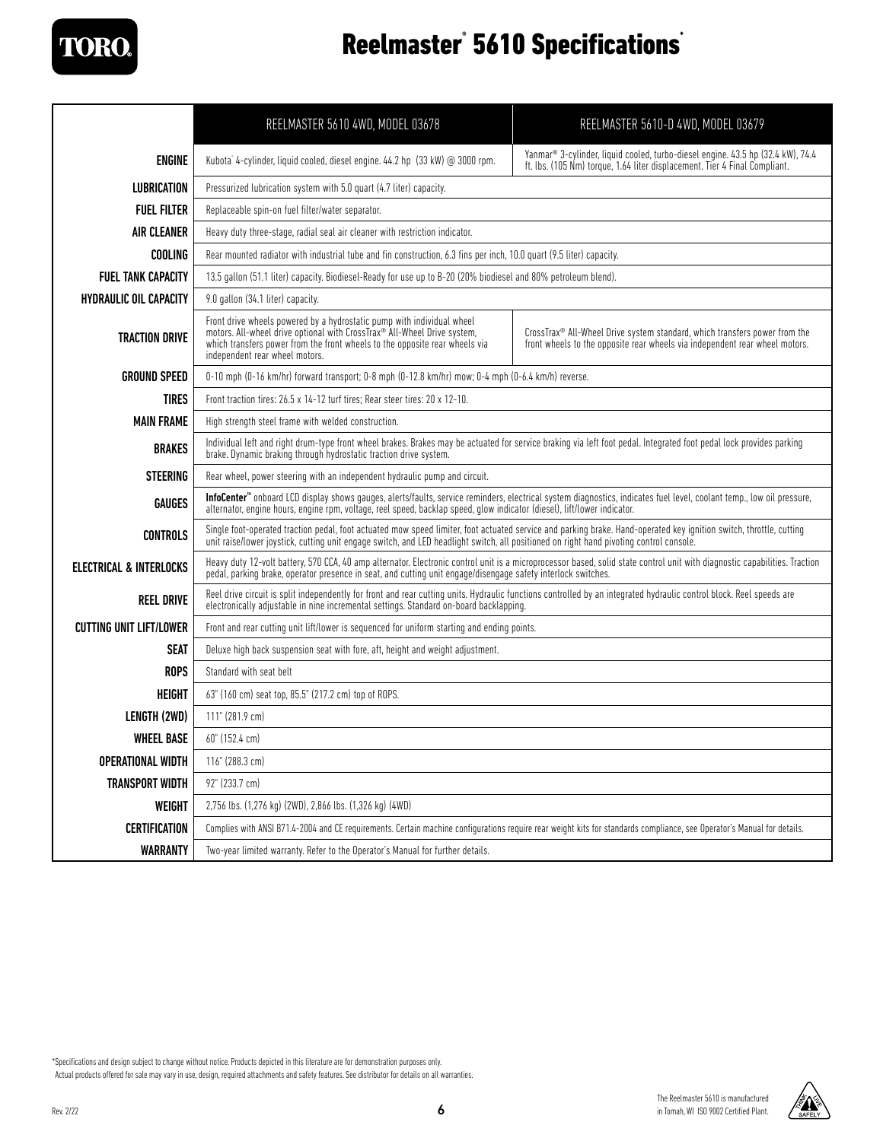

### Reelmaster® 5610 Specifications<sup>®</sup>

|                                | REELMASTER 5610 4WD, MODEL 03678                                                                                                                                                                                                                                                                               | REELMASTER 5610-D 4WD, MODEL 03679                                                                                                                        |  |
|--------------------------------|----------------------------------------------------------------------------------------------------------------------------------------------------------------------------------------------------------------------------------------------------------------------------------------------------------------|-----------------------------------------------------------------------------------------------------------------------------------------------------------|--|
| <b>ENGINE</b>                  | Yanmar® 3-cylinder, liquid cooled, turbo-diesel engine, 43.5 hp (32.4 kW), 74.4<br>Kubota <sup>*</sup> 4-cylinder, liquid cooled, diesel engine. 44.2 hp (33 kW) @ 3000 rpm.<br>ft. lbs. (105 Nm) torque, 1.64 liter displacement. Tier 4 Final Compliant.                                                     |                                                                                                                                                           |  |
| <b>LUBRICATION</b>             | Pressurized lubrication system with 5.0 quart (4.7 liter) capacity.                                                                                                                                                                                                                                            |                                                                                                                                                           |  |
| <b>FUEL FILTER</b>             | Replaceable spin-on fuel filter/water separator.                                                                                                                                                                                                                                                               |                                                                                                                                                           |  |
| <b>AIR CLEANER</b>             | Heavy duty three-stage, radial seal air cleaner with restriction indicator.                                                                                                                                                                                                                                    |                                                                                                                                                           |  |
| <b>COOLING</b>                 | Rear mounted radiator with industrial tube and fin construction, 6.3 fins per inch, 10.0 quart (9.5 liter) capacity.                                                                                                                                                                                           |                                                                                                                                                           |  |
| <b>FUEL TANK CAPACITY</b>      | 13.5 gallon (51.1 liter) capacity. Biodiesel-Ready for use up to B-20 (20% biodiesel and 80% petroleum blend).                                                                                                                                                                                                 |                                                                                                                                                           |  |
| <b>HYDRAULIC OIL CAPACITY</b>  | 9.0 gallon (34.1 liter) capacity.                                                                                                                                                                                                                                                                              |                                                                                                                                                           |  |
| <b>TRACTION DRIVE</b>          | Front drive wheels powered by a hydrostatic pump with individual wheel<br>motors. All-wheel drive optional with CrossTrax® All-Wheel Drive system,<br>which transfers power from the front wheels to the opposite rear wheels via<br>independent rear wheel motors.                                            | CrossTrax® All-Wheel Drive system standard, which transfers power from the<br>front wheels to the opposite rear wheels via independent rear wheel motors. |  |
| <b>GROUND SPEED</b>            | 0-10 mph (0-16 km/hr) forward transport; 0-8 mph (0-12.8 km/hr) mow; 0-4 mph (0-6.4 km/h) reverse.                                                                                                                                                                                                             |                                                                                                                                                           |  |
| <b>TIRES</b>                   | Front traction tires: 26.5 x 14-12 turf tires: Rear steer tires: 20 x 12-10.                                                                                                                                                                                                                                   |                                                                                                                                                           |  |
| <b>MAIN FRAME</b>              | High strength steel frame with welded construction.                                                                                                                                                                                                                                                            |                                                                                                                                                           |  |
| <b>BRAKES</b>                  | Individual left and right drum-type front wheel brakes. Brakes may be actuated for service braking via left foot pedal. Integrated foot pedal lock provides parking<br>brake. Dynamic braking through hydrostatic traction drive system.                                                                       |                                                                                                                                                           |  |
| <b>STEERING</b>                | Rear wheel, power steering with an independent hydraulic pump and circuit.                                                                                                                                                                                                                                     |                                                                                                                                                           |  |
| <b>GAUGES</b>                  | InfoCenter <sup>™</sup> onboard LCD display shows qauges, alerts/faults, service reminders, electrical system diagnostics, indicates fuel level, coolant temp., low oil pressure,<br>alternator, engine hours, engine rpm, voltage, reel speed, backlap speed, glow indicator (diesel), lift/lower indicator.  |                                                                                                                                                           |  |
| <b>CONTROLS</b>                | Single foot-operated traction pedal, foot actuated mow speed limiter, foot actuated service and parking brake. Hand-operated key ignition switch, throttle, cutting<br>unit raise/lower joystick, cutting unit engage switch, and LED headlight switch, all positioned on right hand pivoting control console. |                                                                                                                                                           |  |
| ELECTRICAL & INTERLOCKS        | Heavy duty 12-volt battery, 570 CCA, 40 amp alternator. Electronic control unit is a microprocessor based, solid state control unit with diagnostic capabilities. Traction<br>pedal, parking brake, operator presence in seat, and cutting unit engage/disengage safety interlock switches.                    |                                                                                                                                                           |  |
| <b>REEL DRIVE</b>              | Reel drive circuit is split independently for front and rear cutting units. Hydraulic functions controlled by an integrated hydraulic control block. Reel speeds are<br>electronically adjustable in nine incremental settings. Standard on-board backlapping.                                                 |                                                                                                                                                           |  |
| <b>CUTTING UNIT LIFT/LOWER</b> |                                                                                                                                                                                                                                                                                                                | Front and rear cutting unit lift/lower is sequenced for uniform starting and ending points.                                                               |  |
| <b>SEAT</b>                    | Deluxe high back suspension seat with fore, aft, height and weight adjustment.                                                                                                                                                                                                                                 |                                                                                                                                                           |  |
| <b>ROPS</b>                    | Standard with seat belt                                                                                                                                                                                                                                                                                        |                                                                                                                                                           |  |
| <b>HEIGHT</b>                  | 63" (160 cm) seat top, 85.5" (217.2 cm) top of ROPS.                                                                                                                                                                                                                                                           |                                                                                                                                                           |  |
| LENGTH (2WD)                   | 111" (281.9 cm)                                                                                                                                                                                                                                                                                                |                                                                                                                                                           |  |
| <b>WHEEL BASE</b>              | 60" (152.4 cm)                                                                                                                                                                                                                                                                                                 |                                                                                                                                                           |  |
| <b>OPERATIONAL WIDTH</b>       | 116" (288.3 cm)                                                                                                                                                                                                                                                                                                |                                                                                                                                                           |  |
| <b>TRANSPORT WIDTH</b>         | 92" (233.7 cm)                                                                                                                                                                                                                                                                                                 |                                                                                                                                                           |  |
| WEIGHT                         | 2,756 lbs. (1,276 kg) (2WD), 2,866 lbs. (1,326 kg) (4WD)                                                                                                                                                                                                                                                       |                                                                                                                                                           |  |
| <b>CERTIFICATION</b>           | Complies with ANSI B71.4-2004 and CE requirements. Certain machine configurations require rear weight kits for standards compliance, see Operator's Manual for details.                                                                                                                                        |                                                                                                                                                           |  |
| <b>WARRANTY</b>                | Two-year limited warranty. Refer to the Operator's Manual for further details.                                                                                                                                                                                                                                 |                                                                                                                                                           |  |

\*Specifications and design subject to change without notice. Products depicted in this literature are for demonstration purposes only.